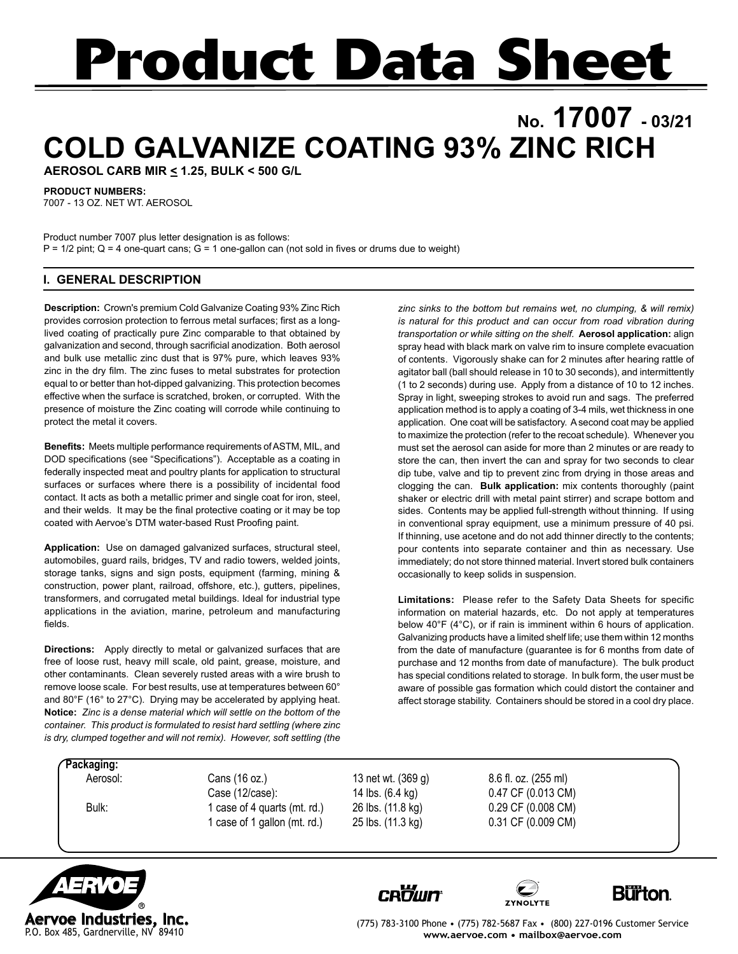# **Product Data Sheet**

## **No. 17007 - 03/21 COLD GALVANIZE COATING 93% ZINC RICH**

**AEROSOL CARB MIR < 1.25, BULK < 500 G/L**

**PRODUCT NUMBERS:**

7007 - 13 OZ. NET WT. AEROSOL

Product number 7007 plus letter designation is as follows:  $P = 1/2$  pint;  $Q = 4$  one-quart cans;  $G = 1$  one-gallon can (not sold in fives or drums due to weight)

### **I. GENERAL DESCRIPTION**

**Description:** Crown's premium Cold Galvanize Coating 93% Zinc Rich provides corrosion protection to ferrous metal surfaces; first as a longlived coating of practically pure Zinc comparable to that obtained by galvanization and second, through sacrificial anodization. Both aerosol and bulk use metallic zinc dust that is 97% pure, which leaves 93% zinc in the dry film. The zinc fuses to metal substrates for protection equal to or better than hot-dipped galvanizing. This protection becomes effective when the surface is scratched, broken, or corrupted. With the presence of moisture the Zinc coating will corrode while continuing to protect the metal it covers.

**Benefits:** Meets multiple performance requirements of ASTM, MIL, and DOD specifications (see "Specifications"). Acceptable as a coating in federally inspected meat and poultry plants for application to structural surfaces or surfaces where there is a possibility of incidental food contact. It acts as both a metallic primer and single coat for iron, steel, and their welds. It may be the final protective coating or it may be top coated with Aervoe's DTM water-based Rust Proofing paint.

**Application:** Use on damaged galvanized surfaces, structural steel, automobiles, guard rails, bridges, TV and radio towers, welded joints, storage tanks, signs and sign posts, equipment (farming, mining & construction, power plant, railroad, offshore, etc.), gutters, pipelines, transformers, and corrugated metal buildings. Ideal for industrial type applications in the aviation, marine, petroleum and manufacturing fields.

**Directions:** Apply directly to metal or galvanized surfaces that are free of loose rust, heavy mill scale, old paint, grease, moisture, and other contaminants. Clean severely rusted areas with a wire brush to remove loose scale. For best results, use at temperatures between 60° and 80°F (16° to 27°C). Drying may be accelerated by applying heat. **Notice:** *Zinc is a dense material which will settle on the bottom of the container. This product is formulated to resist hard settling (where zinc is dry, clumped together and will not remix). However, soft settling (the* 

*zinc sinks to the bottom but remains wet, no clumping, & will remix) is natural for this product and can occur from road vibration during transportation or while sitting on the shelf.* **Aerosol application:** align spray head with black mark on valve rim to insure complete evacuation of contents. Vigorously shake can for 2 minutes after hearing rattle of agitator ball (ball should release in 10 to 30 seconds), and intermittently (1 to 2 seconds) during use. Apply from a distance of 10 to 12 inches. Spray in light, sweeping strokes to avoid run and sags. The preferred application method is to apply a coating of 3-4 mils, wet thickness in one application. One coat will be satisfactory. A second coat may be applied to maximize the protection (refer to the recoat schedule). Whenever you must set the aerosol can aside for more than 2 minutes or are ready to store the can, then invert the can and spray for two seconds to clear dip tube, valve and tip to prevent zinc from drying in those areas and clogging the can. **Bulk application:** mix contents thoroughly (paint shaker or electric drill with metal paint stirrer) and scrape bottom and sides. Contents may be applied full-strength without thinning. If using in conventional spray equipment, use a minimum pressure of 40 psi. If thinning, use acetone and do not add thinner directly to the contents; pour contents into separate container and thin as necessary. Use immediately; do not store thinned material. Invert stored bulk containers occasionally to keep solids in suspension.

**Limitations:** Please refer to the Safety Data Sheets for specific information on material hazards, etc. Do not apply at temperatures below 40°F (4°C), or if rain is imminent within 6 hours of application. Galvanizing products have a limited shelf life; use them within 12 months from the date of manufacture (guarantee is for 6 months from date of purchase and 12 months from date of manufacture). The bulk product has special conditions related to storage. In bulk form, the user must be aware of possible gas formation which could distort the container and affect storage stability. Containers should be stored in a cool dry place.

**Packaging:**

 Aerosol: Cans (16 oz.) 13 net wt. (369 g) 8.6 fl. oz. (255 ml) Case (12/case): 14 lbs. (6.4 kg) 0.47 CF (0.013 CM) Bulk: 1 case of 4 quarts (mt. rd.) 26 lbs. (11.8 kg) 0.29 CF (0.008 CM) 1 case of 1 gallon (mt. rd.) 25 lbs. (11.3 kg) 0.31 CF (0.009 CM)









(775) 783-3100 Phone • (775) 782-5687 Fax • (800) 227-0196 Customer Service **www.aervoe.com • mailbox@aervoe.com**